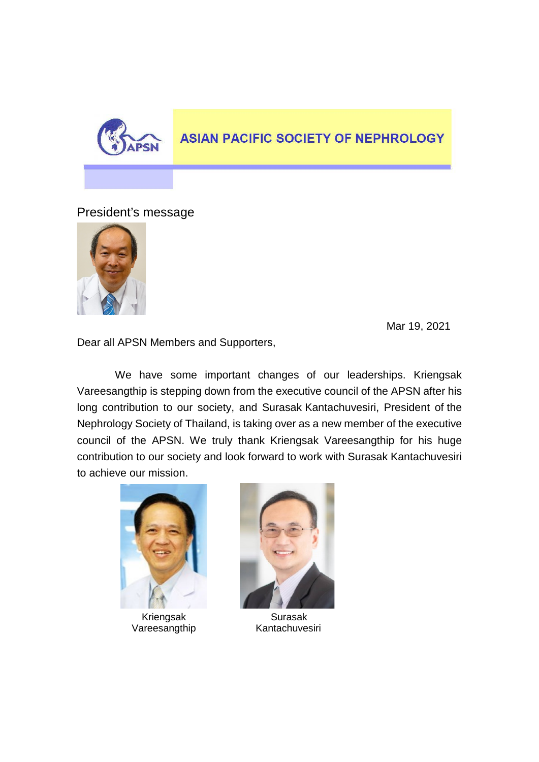

## **ASIAN PACIFIC SOCIETY OF NEPHROLOGY**

President's message



Mar 19, 2021

Dear all APSN Members and Supporters,

We have some important changes of our leaderships. Kriengsak Vareesangthip is stepping down from the executive council of the APSN after his long contribution to our society, and Surasak Kantachuvesiri, President of the Nephrology Society of Thailand, is taking over as a new member of the executive council of the APSN. We truly thank Kriengsak Vareesangthip for his huge contribution to our society and look forward to work with Surasak Kantachuvesiri to achieve our mission.



Vareesangthip



Kriengsak Surasak<br>
areesangthip Kantachuvesiri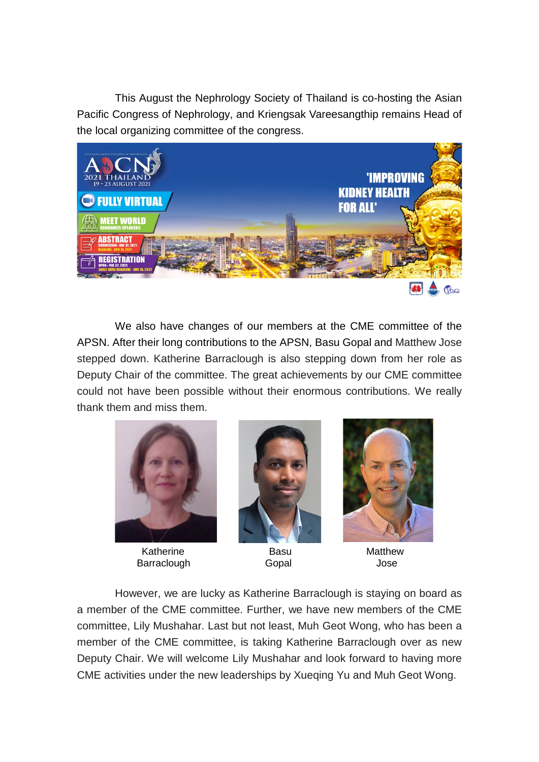This August the Nephrology Society of Thailand is co-hosting the Asian Pacific Congress of Nephrology, and Kriengsak Vareesangthip remains Head of the local organizing committee of the congress.



We also have changes of our members at the CME committee of the APSN. After their long contributions to the APSN, Basu Gopal and Matthew Jose stepped down. Katherine Barraclough is also stepping down from her role as Deputy Chair of the committee. The great achievements by our CME committee could not have been possible without their enormous contributions. We really thank them and miss them.



Katherine **Basu** Basu Matthew Barraclough Gopal Gopal Jose





However, we are lucky as Katherine Barraclough is staying on board as a member of the CME committee. Further, we have new members of the CME committee, Lily Mushahar. Last but not least, Muh Geot Wong, who has been a member of the CME committee, is taking Katherine Barraclough over as new Deputy Chair. We will welcome Lily Mushahar and look forward to having more CME activities under the new leaderships by Xueqing Yu and Muh Geot Wong.